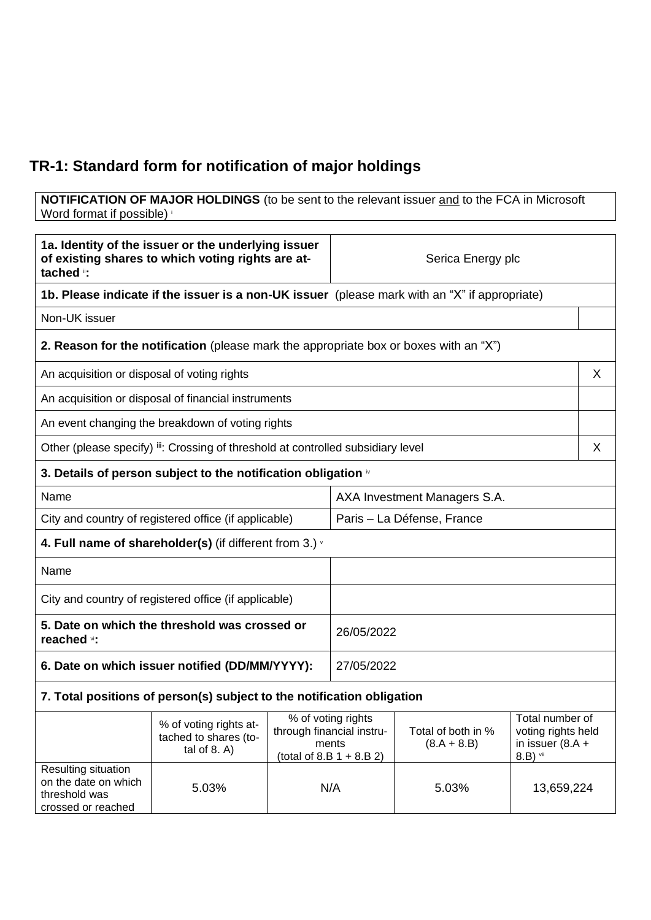## **TR-1: Standard form for notification of major holdings**

**NOTIFICATION OF MAJOR HOLDINGS** (to be sent to the relevant issuer and to the FCA in Microsoft Word format if possible)

| 1a. Identity of the issuer or the underlying issuer<br>of existing shares to which voting rights are at-<br>tached i: |                                                                                               | Serica Energy plc                                                                       |                              |                                     |                                                                           |
|-----------------------------------------------------------------------------------------------------------------------|-----------------------------------------------------------------------------------------------|-----------------------------------------------------------------------------------------|------------------------------|-------------------------------------|---------------------------------------------------------------------------|
|                                                                                                                       | 1b. Please indicate if the issuer is a non-UK issuer (please mark with an "X" if appropriate) |                                                                                         |                              |                                     |                                                                           |
| Non-UK issuer                                                                                                         |                                                                                               |                                                                                         |                              |                                     |                                                                           |
|                                                                                                                       | 2. Reason for the notification (please mark the appropriate box or boxes with an "X")         |                                                                                         |                              |                                     |                                                                           |
| An acquisition or disposal of voting rights                                                                           |                                                                                               |                                                                                         |                              |                                     | X                                                                         |
|                                                                                                                       | An acquisition or disposal of financial instruments                                           |                                                                                         |                              |                                     |                                                                           |
|                                                                                                                       | An event changing the breakdown of voting rights                                              |                                                                                         |                              |                                     |                                                                           |
|                                                                                                                       | Other (please specify) ii: Crossing of threshold at controlled subsidiary level               |                                                                                         |                              |                                     | X                                                                         |
|                                                                                                                       | 3. Details of person subject to the notification obligation in                                |                                                                                         |                              |                                     |                                                                           |
| Name                                                                                                                  |                                                                                               |                                                                                         | AXA Investment Managers S.A. |                                     |                                                                           |
| City and country of registered office (if applicable)                                                                 |                                                                                               |                                                                                         | Paris - La Défense, France   |                                     |                                                                           |
| 4. Full name of shareholder(s) (if different from 3.) $\cdot$                                                         |                                                                                               |                                                                                         |                              |                                     |                                                                           |
| Name                                                                                                                  |                                                                                               |                                                                                         |                              |                                     |                                                                           |
| City and country of registered office (if applicable)                                                                 |                                                                                               |                                                                                         |                              |                                     |                                                                           |
| 5. Date on which the threshold was crossed or<br>reached vi:                                                          |                                                                                               |                                                                                         | 26/05/2022                   |                                     |                                                                           |
| 6. Date on which issuer notified (DD/MM/YYYY):                                                                        |                                                                                               |                                                                                         | 27/05/2022                   |                                     |                                                                           |
|                                                                                                                       | 7. Total positions of person(s) subject to the notification obligation                        |                                                                                         |                              |                                     |                                                                           |
|                                                                                                                       | % of voting rights at-<br>tached to shares (to-<br>tal of $8. A$ )                            | % of voting rights<br>through financial instru-<br>ments<br>(total of 8.B $1 + 8.B 2$ ) |                              | Total of both in %<br>$(8.A + 8.B)$ | Total number of<br>voting rights held<br>in issuer $(8.A +$<br>$8.B)$ vii |
| Resulting situation<br>on the date on which<br>threshold was<br>crossed or reached                                    | 5.03%                                                                                         | N/A                                                                                     |                              | 5.03%                               | 13,659,224                                                                |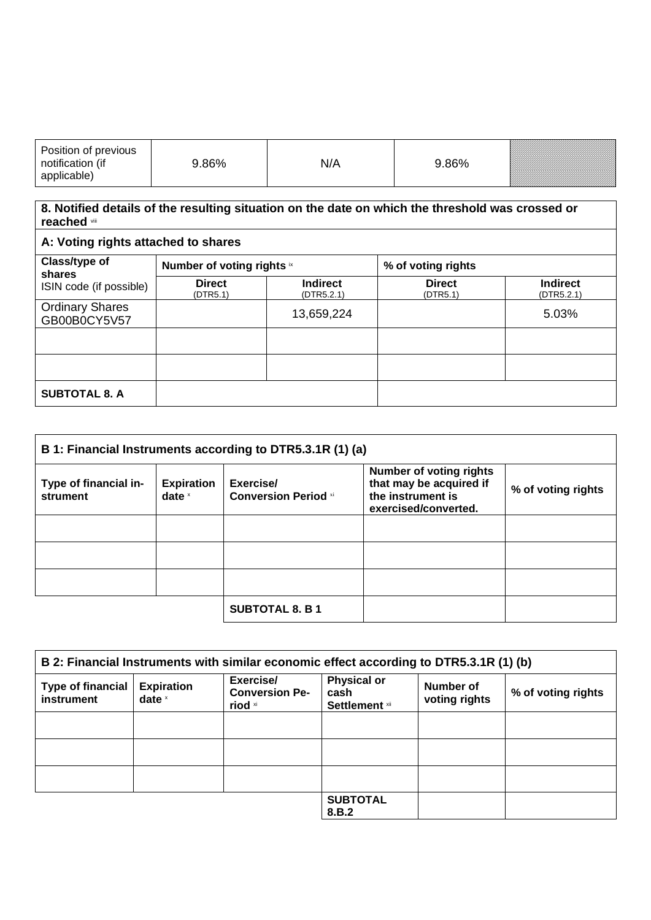| Position of previous<br>notification (if<br>applicable) | .86% | N/A | .86% | <b>Siinimiinimiinimii</b> |
|---------------------------------------------------------|------|-----|------|---------------------------|
|---------------------------------------------------------|------|-----|------|---------------------------|

## **8. Notified details of the resulting situation on the date on which the threshold was crossed or reached** viii

| A: Voting rights attached to shares                |                            |                               |                           |                               |
|----------------------------------------------------|----------------------------|-------------------------------|---------------------------|-------------------------------|
| Class/type of<br>shares<br>ISIN code (if possible) | Number of voting rights ix |                               | % of voting rights        |                               |
|                                                    | <b>Direct</b><br>(DTR5.1)  | <b>Indirect</b><br>(DTR5.2.1) | <b>Direct</b><br>(DTR5.1) | <b>Indirect</b><br>(DTR5.2.1) |
| <b>Ordinary Shares</b><br>GB00B0CY5V57             |                            | 13,659,224                    |                           | 5.03%                         |
|                                                    |                            |                               |                           |                               |
|                                                    |                            |                               |                           |                               |
| <b>SUBTOTAL 8. A</b>                               |                            |                               |                           |                               |

| B 1: Financial Instruments according to DTR5.3.1R (1) (a) |                               |                                          |                                                                                                        |                    |
|-----------------------------------------------------------|-------------------------------|------------------------------------------|--------------------------------------------------------------------------------------------------------|--------------------|
| Type of financial in-<br>strument                         | <b>Expiration</b><br>date $x$ | Exercise/<br><b>Conversion Period xi</b> | <b>Number of voting rights</b><br>that may be acquired if<br>the instrument is<br>exercised/converted. | % of voting rights |
|                                                           |                               |                                          |                                                                                                        |                    |
|                                                           |                               |                                          |                                                                                                        |                    |
|                                                           |                               |                                          |                                                                                                        |                    |
|                                                           |                               | <b>SUBTOTAL 8. B 1</b>                   |                                                                                                        |                    |

| B 2: Financial Instruments with similar economic effect according to DTR5.3.1R (1) (b) |                               |                                               |                                                     |                            |                    |
|----------------------------------------------------------------------------------------|-------------------------------|-----------------------------------------------|-----------------------------------------------------|----------------------------|--------------------|
| <b>Type of financial</b><br>instrument                                                 | <b>Expiration</b><br>date $x$ | Exercise/<br><b>Conversion Pe-</b><br>riod xi | <b>Physical or</b><br>cash<br><b>Settlement</b> xii | Number of<br>voting rights | % of voting rights |
|                                                                                        |                               |                                               |                                                     |                            |                    |
|                                                                                        |                               |                                               |                                                     |                            |                    |
|                                                                                        |                               |                                               |                                                     |                            |                    |
|                                                                                        |                               |                                               | <b>SUBTOTAL</b><br>8.B.2                            |                            |                    |